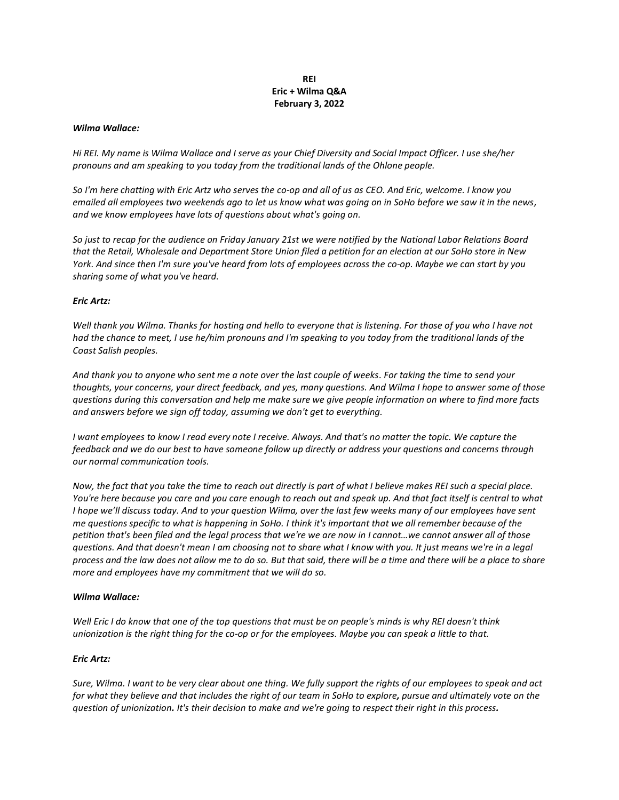## **REI Eric + Wilma Q&A February 3, 2022**

### *Wilma Wallace:*

*Hi REI. My name is Wilma Wallace and I serve as your Chief Diversity and Social Impact Officer. I use she/her pronouns and am speaking to you today from the traditional lands of the Ohlone people.*

*So I'm here chatting with Eric Artz who serves the co-op and all of us as CEO. And Eric, welcome. I know you emailed all employees two weekends ago to let us know what was going on in SoHo before we saw it in the news, and we know employees have lots of questions about what's going on.*

*So just to recap for the audience on Friday January 21st we were notified by the National Labor Relations Board that the Retail, Wholesale and Department Store Union filed a petition for an election at our SoHo store in New York. And since then I'm sure you've heard from lots of employees across the co-op. Maybe we can start by you sharing some of what you've heard.*

### *Eric Artz:*

*Well thank you Wilma. Thanks for hosting and hello to everyone that is listening. For those of you who I have not had the chance to meet, I use he/him pronouns and I'm speaking to you today from the traditional lands of the Coast Salish peoples.*

*And thank you to anyone who sent me a note over the last couple of weeks. For taking the time to send your thoughts, your concerns, your direct feedback, and yes, many questions. And Wilma I hope to answer some of those questions during this conversation and help me make sure we give people information on where to find more facts and answers before we sign off today, assuming we don't get to everything.*

*I* want employees to know *I read every note I receive. Always. And that's no matter the topic. We capture the feedback and we do our best to have someone follow up directly or address your questions and concerns through our normal communication tools.*

*Now, the fact that you take the time to reach out directly is part of what I believe makes REI such a special place. You're here because you care and you care enough to reach out and speak up. And that fact itself is central to what I hope we'll discuss today. And to your question Wilma, over the last few weeks many of our employees have sent me questions specific to what is happening in SoHo. I think it's important that we all remember because of the petition that's been filed and the legal process that we're we are now in I cannot…we cannot answer all of those questions. And that doesn't mean I am choosing not to share what I know with you. It just means we're in a legal process and the law does not allow me to do so. But that said, there will be a time and there will be a place to share more and employees have my commitment that we will do so.*

### *Wilma Wallace:*

*Well Eric I do know that one of the top questions that must be on people's minds is why REI doesn't think unionization is the right thing for the co-op or for the employees. Maybe you can speak a little to that.*

### *Eric Artz:*

*Sure, Wilma. I want to be very clear about one thing. We fully support the rights of our employees to speak and act for what they believe and that includes the right of our team in SoHo to explore, pursue and ultimately vote on the question of unionization. It's their decision to make and we're going to respect their right in this process.*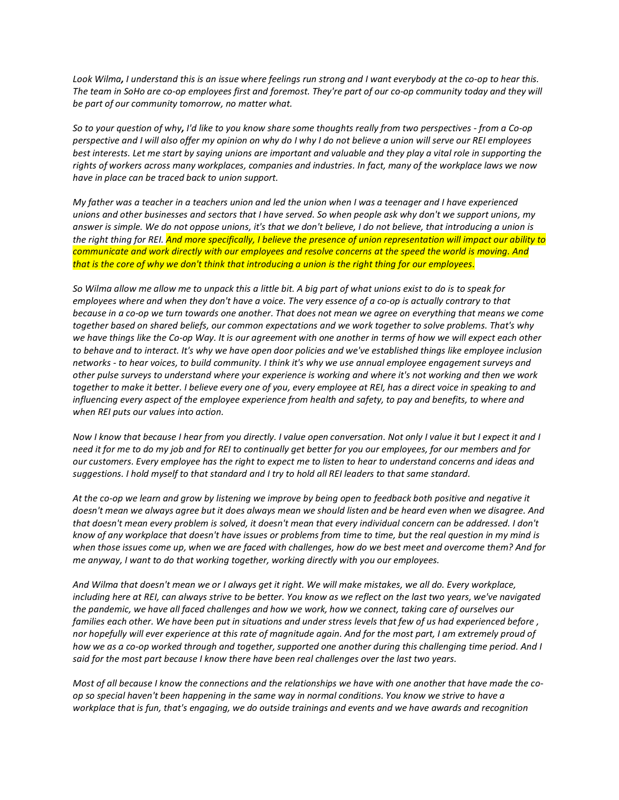*Look Wilma, I understand this is an issue where feelings run strong and I want everybody at the co-op to hear this. The team in SoHo are co-op employees first and foremost. They're part of our co-op community today and they will be part of our community tomorrow, no matter what.*

*So to your question of why, I'd like to you know share some thoughts really from two perspectives - from a Co-op perspective and I will also offer my opinion on why do I why I do not believe a union will serve our REI employees best interests. Let me start by saying unions are important and valuable and they play a vital role in supporting the rights of workers across many workplaces, companies and industries. In fact, many of the workplace laws we now have in place can be traced back to union support.*

*My father was a teacher in a teachers union and led the union when I was a teenager and I have experienced unions and other businesses and sectors that I have served. So when people ask why don't we support unions, my answer is simple. We do not oppose unions, it's that we don't believe, I do not believe, that introducing a union is the right thing for REI. And more specifically, I believe the presence of union representation will impact our ability to communicate and work directly with our employees and resolve concerns at the speed the world is moving. And that is the core of why we don't think that introducing a union is the right thing for our employees.*

*So Wilma allow me allow me to unpack this a little bit. A big part of what unions exist to do is to speak for employees where and when they don't have a voice. The very essence of a co-op is actually contrary to that because in a co-op we turn towards one another. That does not mean we agree on everything that means we come together based on shared beliefs, our common expectations and we work together to solve problems. That's why we have things like the Co-op Way. It is our agreement with one another in terms of how we will expect each other to behave and to interact. It's why we have open door policies and we've established things like employee inclusion networks - to hear voices, to build community. I think it's why we use annual employee engagement surveys and other pulse surveys to understand where your experience is working and where it's not working and then we work together to make it better. I believe every one of you, every employee at REI, has a direct voice in speaking to and influencing every aspect of the employee experience from health and safety, to pay and benefits, to where and when REI puts our values into action.*

*Now I know that because I hear from you directly. I value open conversation. Not only I value it but I expect it and I need it for me to do my job and for REI to continually get better for you our employees, for our members and for our customers. Every employee has the right to expect me to listen to hear to understand concerns and ideas and suggestions. I hold myself to that standard and I try to hold all REI leaders to that same standard.*

*At the co-op we learn and grow by listening we improve by being open to feedback both positive and negative it doesn't mean we always agree but it does always mean we should listen and be heard even when we disagree. And that doesn't mean every problem is solved, it doesn't mean that every individual concern can be addressed. I don't know of any workplace that doesn't have issues or problems from time to time, but the real question in my mind is when those issues come up, when we are faced with challenges, how do we best meet and overcome them? And for me anyway, I want to do that working together, working directly with you our employees.*

*And Wilma that doesn't mean we or I always get it right. We will make mistakes, we all do. Every workplace, including here at REI, can always strive to be better. You know as we reflect on the last two years, we've navigated the pandemic, we have all faced challenges and how we work, how we connect, taking care of ourselves our families each other. We have been put in situations and under stress levels that few of us had experienced before , nor hopefully will ever experience at this rate of magnitude again. And for the most part, I am extremely proud of how we as a co-op worked through and together, supported one another during this challenging time period. And I said for the most part because I know there have been real challenges over the last two years.*

*Most of all because I know the connections and the relationships we have with one another that have made the coop so special haven't been happening in the same way in normal conditions. You know we strive to have a workplace that is fun, that's engaging, we do outside trainings and events and we have awards and recognition*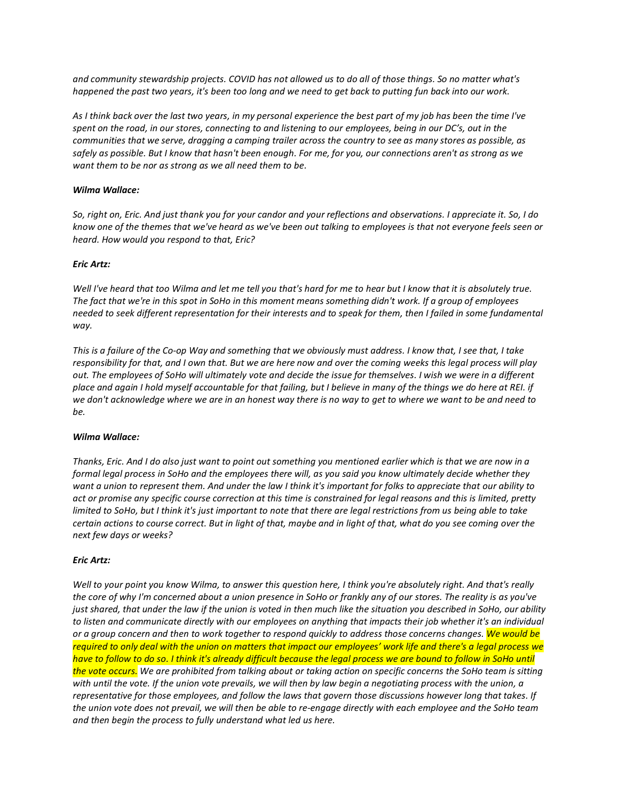*and community stewardship projects. COVID has not allowed us to do all of those things. So no matter what's happened the past two years, it's been too long and we need to get back to putting fun back into our work.*

*As I think back over the last two years, in my personal experience the best part of my job has been the time I've spent on the road, in our stores, connecting to and listening to our employees, being in our DC's, out in the communities that we serve, dragging a camping trailer across the country to see as many stores as possible, as safely as possible. But I know that hasn't been enough. For me, for you, our connections aren't as strong as we want them to be nor as strong as we all need them to be.*

## *Wilma Wallace:*

*So, right on, Eric. And just thank you for your candor and your reflections and observations. I appreciate it. So, I do know one of the themes that we've heard as we've been out talking to employees is that not everyone feels seen or heard. How would you respond to that, Eric?*

## *Eric Artz:*

*Well I've heard that too Wilma and let me tell you that's hard for me to hear but I know that it is absolutely true. The fact that we're in this spot in SoHo in this moment means something didn't work. If a group of employees needed to seek different representation for their interests and to speak for them, then I failed in some fundamental way.*

*This is a failure of the Co-op Way and something that we obviously must address. I know that, I see that, I take responsibility for that, and I own that. But we are here now and over the coming weeks this legal process will play out. The employees of SoHo will ultimately vote and decide the issue for themselves. I wish we were in a different place and again I hold myself accountable for that failing, but I believe in many of the things we do here at REI. if we don't acknowledge where we are in an honest way there is no way to get to where we want to be and need to be.*

### *Wilma Wallace:*

*Thanks, Eric. And I do also just want to point out something you mentioned earlier which is that we are now in a formal legal process in SoHo and the employees there will, as you said you know ultimately decide whether they want a union to represent them. And under the law I think it's important for folks to appreciate that our ability to act or promise any specific course correction at this time is constrained for legal reasons and this is limited, pretty limited to SoHo, but I think it's just important to note that there are legal restrictions from us being able to take certain actions to course correct. But in light of that, maybe and in light of that, what do you see coming over the next few days or weeks?*

# *Eric Artz:*

*Well to your point you know Wilma, to answer this question here, I think you're absolutely right. And that's really the core of why I'm concerned about a union presence in SoHo or frankly any of our stores. The reality is as you've just shared, that under the law if the union is voted in then much like the situation you described in SoHo, our ability to listen and communicate directly with our employees on anything that impacts their job whether it's an individual or a group concern and then to work together to respond quickly to address those concerns changes. We would be required to only deal with the union on matters that impact our employees' work life and there's a legal process we have to follow to do so. I think it's already difficult because the legal process we are bound to follow in SoHo until the vote occurs. We are prohibited from talking about or taking action on specific concerns the SoHo team is sitting with until the vote. If the union vote prevails, we will then by law begin a negotiating process with the union, a representative for those employees, and follow the laws that govern those discussions however long that takes. If the union vote does not prevail, we will then be able to re-engage directly with each employee and the SoHo team and then begin the process to fully understand what led us here.*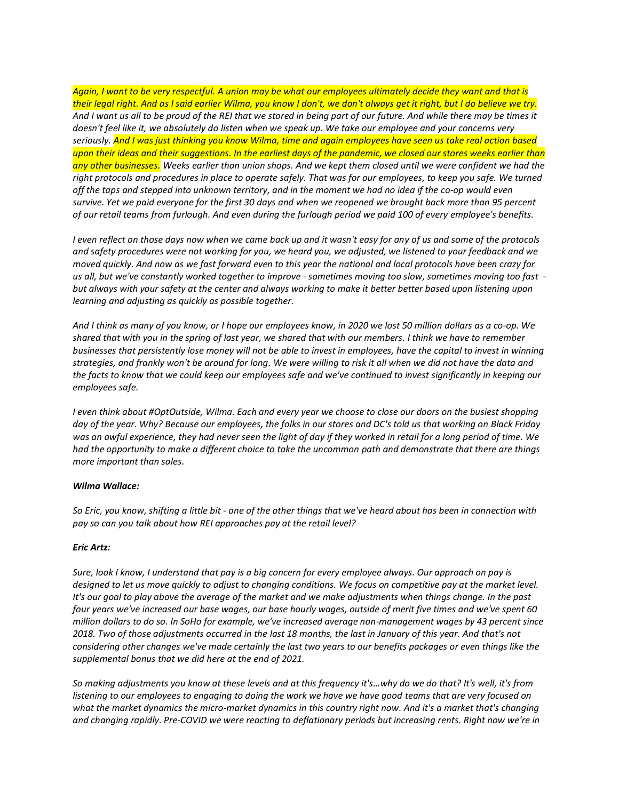*Again, I want to be very respectful. A union may be what our employees ultimately decide they want and that is their legal right. And as I said earlier Wilma, you know I don't, we don't always get it right, but I do believe we try. And I want us all to be proud of the REI that we stored in being part of our future. And while there may be times it doesn't feel like it, we absolutely do listen when we speak up. We take our employee and your concerns very seriously. And I was just thinking you know Wilma, time and again employees have seen us take real action based upon their ideas and their suggestions. In the earliest days of the pandemic, we closed our stores weeks earlier than any other businesses. Weeks earlier than union shops. And we kept them closed until we were confident we had the right protocols and procedures in place to operate safely. That was for our employees, to keep you safe. We turned off the taps and stepped into unknown territory, and in the moment we had no idea if the co-op would even survive. Yet we paid everyone for the first 30 days and when we reopened we brought back more than 95 percent of our retail teams from furlough. And even during the furlough period we paid 100 of every employee's benefits.*

*I even reflect on those days now when we came back up and it wasn't easy for any of us and some of the protocols and safety procedures were not working for you, we heard you, we adjusted, we listened to your feedback and we moved quickly. And now as we fast forward even to this year the national and local protocols have been crazy for us all, but we've constantly worked together to improve - sometimes moving too slow, sometimes moving too fast but always with your safety at the center and always working to make it better better based upon listening upon learning and adjusting as quickly as possible together.*

*And I think as many of you know, or I hope our employees know, in 2020 we lost 50 million dollars as a co-op. We shared that with you in the spring of last year, we shared that with our members. I think we have to remember businesses that persistently lose money will not be able to invest in employees, have the capital to invest in winning strategies, and frankly won't be around for long. We were willing to risk it all when we did not have the data and the facts to know that we could keep our employees safe and we've continued to invest significantly in keeping our employees safe.*

*I even think about #OptOutside, Wilma. Each and every year we choose to close our doors on the busiest shopping day of the year. Why? Because our employees, the folks in our stores and DC's told us that working on Black Friday was an awful experience, they had never seen the light of day if they worked in retail for a long period of time. We had the opportunity to make a different choice to take the uncommon path and demonstrate that there are things more important than sales.*

# *Wilma Wallace:*

*So Eric, you know, shifting a little bit - one of the other things that we've heard about has been in connection with pay so can you talk about how REI approaches pay at the retail level?*

# *Eric Artz:*

*Sure, look I know, I understand that pay is a big concern for every employee always. Our approach on pay is designed to let us move quickly to adjust to changing conditions. We focus on competitive pay at the market level. It's our goal to play above the average of the market and we make adjustments when things change. In the past four years we've increased our base wages, our base hourly wages, outside of merit five times and we've spent 60 million dollars to do so. In SoHo for example, we've increased average non-management wages by 43 percent since 2018. Two of those adjustments occurred in the last 18 months, the last in January of this year. And that's not considering other changes we've made certainly the last two years to our benefits packages or even things like the supplemental bonus that we did here at the end of 2021.*

*So making adjustments you know at these levels and at this frequency it's…why do we do that? It's well, it's from listening to our employees to engaging to doing the work we have we have good teams that are very focused on what the market dynamics the micro-market dynamics in this country right now. And it's a market that's changing and changing rapidly. Pre-COVID we were reacting to deflationary periods but increasing rents. Right now we're in*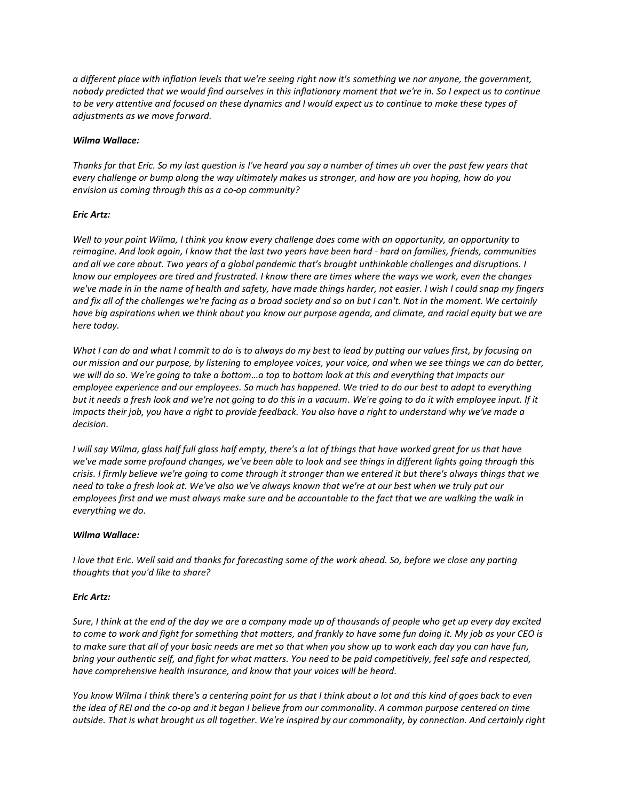*a different place with inflation levels that we're seeing right now it's something we nor anyone, the government, nobody predicted that we would find ourselves in this inflationary moment that we're in. So I expect us to continue to be very attentive and focused on these dynamics and I would expect us to continue to make these types of adjustments as we move forward.*

## *Wilma Wallace:*

*Thanks for that Eric. So my last question is I've heard you say a number of times uh over the past few years that every challenge or bump along the way ultimately makes us stronger, and how are you hoping, how do you envision us coming through this as a co-op community?*

## *Eric Artz:*

*Well to your point Wilma, I think you know every challenge does come with an opportunity, an opportunity to reimagine. And look again, I know that the last two years have been hard - hard on families, friends, communities and all we care about. Two years of a global pandemic that's brought unthinkable challenges and disruptions. I know our employees are tired and frustrated. I know there are times where the ways we work, even the changes we've made in in the name of health and safety, have made things harder, not easier. I wish I could snap my fingers and fix all of the challenges we're facing as a broad society and so on but I can't. Not in the moment. We certainly have big aspirations when we think about you know our purpose agenda, and climate, and racial equity but we are here today.*

*What I can do and what I commit to do is to always do my best to lead by putting our values first, by focusing on our mission and our purpose, by listening to employee voices, your voice, and when we see things we can do better, we will do so. We're going to take a bottom…a top to bottom look at this and everything that impacts our employee experience and our employees. So much has happened. We tried to do our best to adapt to everything but it needs a fresh look and we're not going to do this in a vacuum. We're going to do it with employee input. If it impacts their job, you have a right to provide feedback. You also have a right to understand why we've made a decision.*

*I will say Wilma, glass half full glass half empty, there's a lot of things that have worked great for us that have we've made some profound changes, we've been able to look and see things in different lights going through this crisis. I firmly believe we're going to come through it stronger than we entered it but there's always things that we need to take a fresh look at. We've also we've always known that we're at our best when we truly put our employees first and we must always make sure and be accountable to the fact that we are walking the walk in everything we do.*

### *Wilma Wallace:*

*I love that Eric. Well said and thanks for forecasting some of the work ahead. So, before we close any parting thoughts that you'd like to share?*

# *Eric Artz:*

*Sure, I think at the end of the day we are a company made up of thousands of people who get up every day excited to come to work and fight for something that matters, and frankly to have some fun doing it. My job as your CEO is to make sure that all of your basic needs are met so that when you show up to work each day you can have fun, bring your authentic self, and fight for what matters. You need to be paid competitively, feel safe and respected, have comprehensive health insurance, and know that your voices will be heard.*

*You know Wilma I think there's a centering point for us that I think about a lot and this kind of goes back to even the idea of REI and the co-op and it began I believe from our commonality. A common purpose centered on time outside. That is what brought us all together. We're inspired by our commonality, by connection. And certainly right*